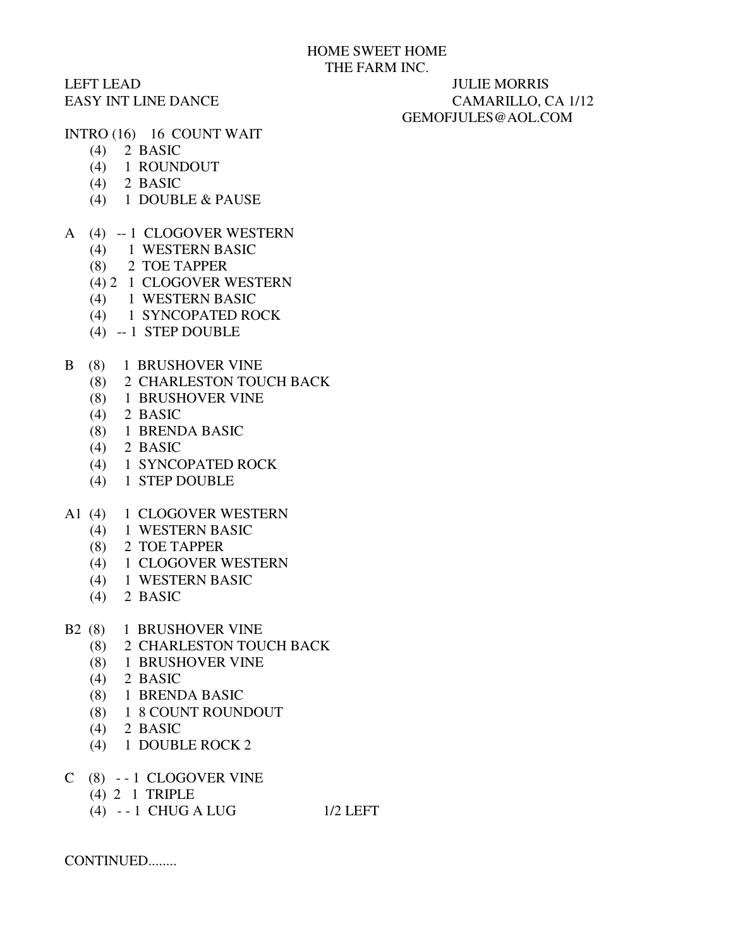## LEFT LEAD JULIE MORRIS

## EASY INT LINE DANCE CAMARILLO, CA 1/12 GEMOFJULES@AOL.COM

- INTRO (16) 16 COUNT WAIT
	- (4) 2 BASIC
	- (4) 1 ROUNDOUT
	- (4) 2 BASIC
	- (4) 1 DOUBLE & PAUSE
- A (4) -- 1 CLOGOVER WESTERN
	- (4) 1 WESTERN BASIC
	- (8) 2 TOE TAPPER
	- (4) 2 1 CLOGOVER WESTERN
	- (4) 1 WESTERN BASIC
	- (4) 1 SYNCOPATED ROCK
	- (4) -- 1 STEP DOUBLE
- B (8) 1 BRUSHOVER VINE
	- (8) 2 CHARLESTON TOUCH BACK
	- (8) 1 BRUSHOVER VINE
	- (4) 2 BASIC
	- (8) 1 BRENDA BASIC
	- (4) 2 BASIC
	- (4) 1 SYNCOPATED ROCK
	- (4) 1 STEP DOUBLE
- A1 (4) 1 CLOGOVER WESTERN
	- (4) 1 WESTERN BASIC
	- (8) 2 TOE TAPPER
	- (4) 1 CLOGOVER WESTERN
	- (4) 1 WESTERN BASIC
	- (4) 2 BASIC
- B2 (8) 1 BRUSHOVER VINE
	- (8) 2 CHARLESTON TOUCH BACK
	- (8) 1 BRUSHOVER VINE
	- (4) 2 BASIC
	- (8) 1 BRENDA BASIC
	- (8) 1 8 COUNT ROUNDOUT
	- (4) 2 BASIC
	- (4) 1 DOUBLE ROCK 2
- C (8) - 1 CLOGOVER VINE
	- (4) 2 1 TRIPLE
	- (4) - 1 CHUG A LUG 1/2 LEFT

CONTINUED........